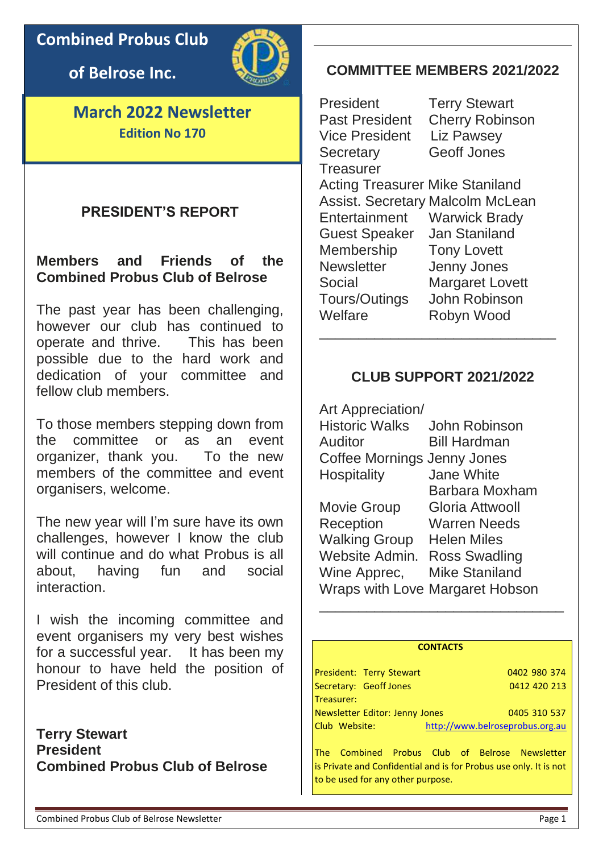**Combined Probus Club** 

**of Belrose Inc.**



**March 2022 Newsletter Edition No 170**

# **PRESIDENT'S REPORT**

# **Members and Friends of the Combined Probus Club of Belrose**

The past year has been challenging, however our club has continued to operate and thrive. This has been possible due to the hard work and dedication of your committee and fellow club members.

To those members stepping down from the committee or as an event organizer, thank you. To the new members of the committee and event organisers, welcome.

The new year will I'm sure have its own challenges, however I know the club will continue and do what Probus is all about, having fun and social interaction.

I wish the incoming committee and event organisers my very best wishes for a successful year. It has been my honour to have held the position of President of this club.

**Terry Stewart President Combined Probus Club of Belrose**

# **COMMITTEE MEMBERS 2021/2022**

President Terry Stewart Vice President Liz Pawsey Secretary Geoff Jones **Treasurer** 

Past President Cherry Robinson

Acting Treasurer Mike Staniland Assist. Secretary Malcolm McLean Entertainment Warwick Brady Guest Speaker Jan Staniland Membership Tony Lovett Newsletter Jenny Jones Social Margaret Lovett Tours/Outings John Robinson Welfare Robyn Wood \_\_\_\_\_\_\_\_\_\_\_\_\_\_\_\_\_\_\_\_\_\_\_\_\_\_\_\_\_\_

### **CLUB SUPPORT 2021/2022**

Art Appreciation/ Historic Walks John Robinson Auditor Bill Hardman Coffee Mornings Jenny Jones Hospitality Jane White Barbara Moxham Movie Group Gloria Attwooll Reception Warren Needs Walking Group Helen Miles Website Admin. Ross Swadling Wine Apprec, Mike Staniland Wraps with Love Margaret Hobson \_\_\_\_\_\_\_\_\_\_\_\_\_\_\_\_\_\_\_\_\_\_\_\_\_\_\_\_\_\_\_

#### **CONTACTS**

|               | President: Terry Stewart       |                                 | 0402 980 374 |
|---------------|--------------------------------|---------------------------------|--------------|
|               | Secretary: Geoff Jones         |                                 | 0412 420 213 |
| Treasurer:    |                                |                                 |              |
|               | Newsletter Editor: Jenny Jones |                                 | 0405 310 537 |
| Club Website: |                                | http://www.belroseprobus.org.au |              |

The Combined Probus Club of Belrose Newsletter is Private and Confidential and is for Probus use only. It is not to be used for any other purpose.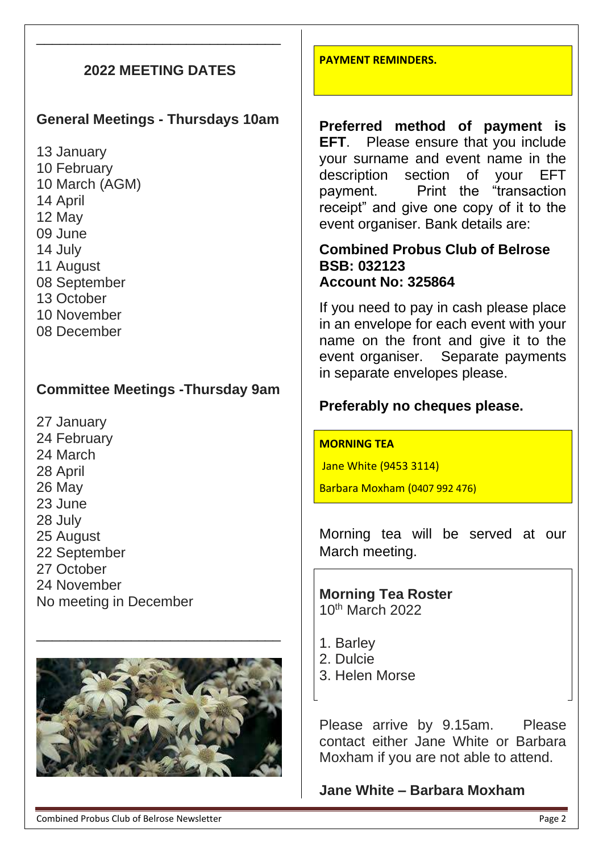# **2022 MEETING DATES**

\_\_\_\_\_\_\_\_\_\_\_\_\_\_\_\_\_\_\_\_\_\_\_\_\_\_\_\_\_\_\_

## **General Meetings - Thursdays 10am**

13 January 10 February 10 March (AGM) 14 April 12 May 09 June 14 July 11 August 08 September 13 October 10 November 08 December

## **Committee Meetings -Thursday 9am**

27 January 24 February 24 March 28 April 26 May 23 June 28 July 25 August 22 September 27 October 24 November No meeting in December



\_\_\_\_\_\_\_\_\_\_\_\_\_\_\_\_\_\_\_\_\_\_\_\_\_\_\_\_\_\_\_

**PAYMENT REMINDERS.**

**Preferred method of payment is EFT**. Please ensure that you include your surname and event name in the description section of your EFT payment. Print the "transaction receipt" and give one copy of it to the event organiser. Bank details are:

### **Combined Probus Club of Belrose BSB: 032123 Account No: 325864**

If you need to pay in cash please place in an envelope for each event with your name on the front and give it to the event organiser. Separate payments in separate envelopes please.

### **Preferably no cheques please.**

#### **MORNING TEA**

Jane White (9453 3114)

Barbara Moxham (0407 992 476)

Morning tea will be served at our March meeting.

**Morning Tea Roster**  10th March 2022

- 1. Barley
- 2. Dulcie
- 3. Helen Morse

Please arrive by 9.15am. Please contact either Jane White or Barbara Moxham if you are not able to attend.

## **Jane White – Barbara Moxham**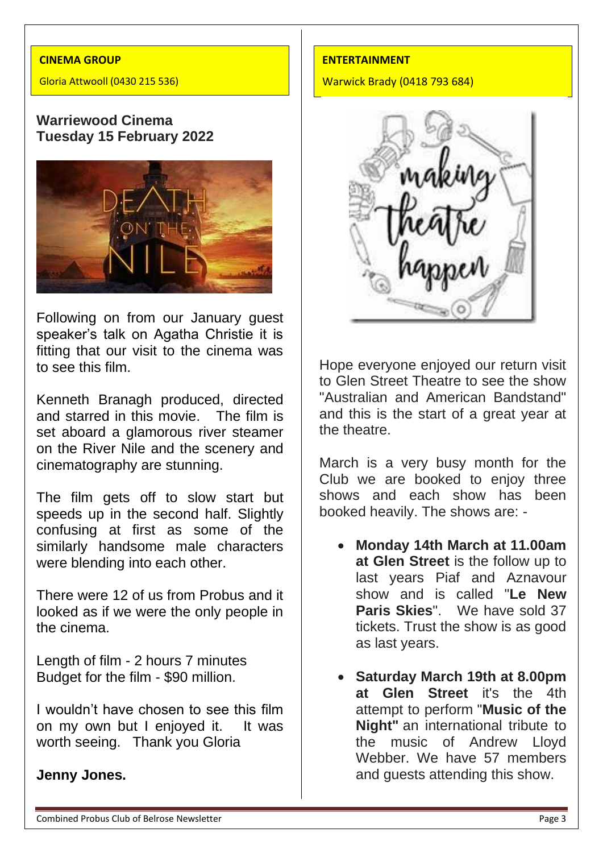#### **CINEMA GROUP**

Gloria Attwooll (0430 215 536)

### **Warriewood Cinema Tuesday 15 February 2022**



Following on from our January guest speaker's talk on Agatha Christie it is fitting that our visit to the cinema was to see this film.

Kenneth Branagh produced, directed and starred in this movie. The film is set aboard a glamorous river steamer on the River Nile and the scenery and cinematography are stunning.

The film gets off to slow start but speeds up in the second half. Slightly confusing at first as some of the similarly handsome male characters were blending into each other.

There were 12 of us from Probus and it looked as if we were the only people in the cinema.

Length of film - 2 hours 7 minutes Budget for the film - \$90 million.

I wouldn't have chosen to see this film on my own but I enjoyed it. It was worth seeing. Thank you Gloria

### **Jenny Jones.**

#### **ENTERTAINMENT**

Warwick Brady (0418 793 684)



Hope everyone enjoyed our return visit to Glen Street Theatre to see the show "Australian and American Bandstand" and this is the start of a great year at the theatre.

March is a very busy month for the Club we are booked to enjoy three shows and each show has been booked heavily. The shows are: -

- **Monday 14th March at 11.00am at Glen Street** is the follow up to last years Piaf and Aznavour show and is called "**Le New Paris Skies**". We have sold 37 tickets. Trust the show is as good as last years.
- **Saturday March 19th at 8.00pm at Glen Street** it's the 4th attempt to perform "**Music of the Night"** an international tribute to the music of Andrew Lloyd Webber. We have 57 members and guests attending this show.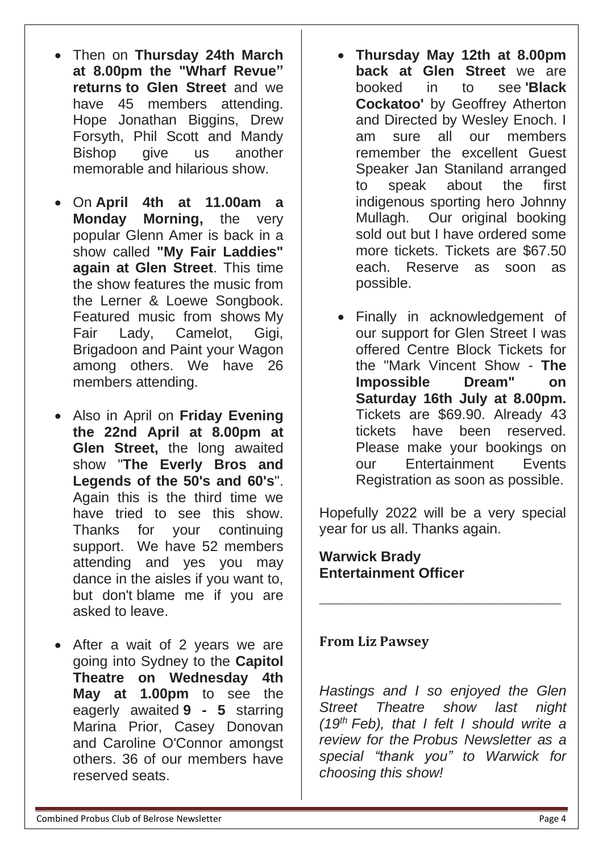**at 8.00pm the "Wharf Revue" returns to Glen Street** and we have 45 members attending. Hope Jonathan Biggins, Drew Forsyth, Phil Scott and Mandy Bishop give us another memorable and hilarious show.

• Then on **Thursday 24th March** 

- On **April 4th at 11.00am a Monday Morning,** the very popular Glenn Amer is back in a show called **"My Fair Laddies" again at Glen Street**. This time the show features the music from the Lerner & Loewe Songbook. Featured music from shows My Fair Lady, Camelot, Gigi, Brigadoon and Paint your Wagon among others. We have 26 members attending.
- Also in April on **Friday Evening the 22nd April at 8.00pm at Glen Street,** the long awaited show "**The Everly Bros and Legends of the 50's and 60's**". Again this is the third time we have tried to see this show. Thanks for your continuing support. We have 52 members attending and yes you may dance in the aisles if you want to, but don't blame me if you are asked to leave.
- After a wait of 2 years we are going into Sydney to the **Capitol Theatre on Wednesday 4th May at 1.00pm** to see the eagerly awaited **9 - 5** starring Marina Prior, Casey Donovan and Caroline O'Connor amongst others. 36 of our members have reserved seats.
- **Thursday May 12th at 8.00pm back at Glen Street** we are booked in to see **'Black Cockatoo'** by Geoffrey Atherton and Directed by Wesley Enoch. I am sure all our members remember the excellent Guest Speaker Jan Staniland arranged to speak about the first indigenous sporting hero Johnny Mullagh. Our original booking sold out but I have ordered some more tickets. Tickets are \$67.50 each. Reserve as soon as possible.
- Finally in acknowledgement of our support for Glen Street I was offered Centre Block Tickets for the "Mark Vincent Show - **The Impossible Dream" on Saturday 16th July at 8.00pm.** Tickets are \$69.90. Already 43 tickets have been reserved. Please make your bookings on our Entertainment Events Registration as soon as possible.

Hopefully 2022 will be a very special year for us all. Thanks again.

\_\_\_\_\_\_\_\_\_\_\_\_\_\_\_\_\_\_\_\_\_\_\_\_\_\_\_\_\_\_\_\_\_\_\_\_\_\_\_\_\_\_\_

### **Warwick Brady Entertainment Officer**

## **From Liz Pawsey**

*Hastings and I so enjoyed the Glen Street Theatre show last night (19th Feb), that I felt I should write a review for the Probus Newsletter as a special "thank you" to Warwick for choosing this show!*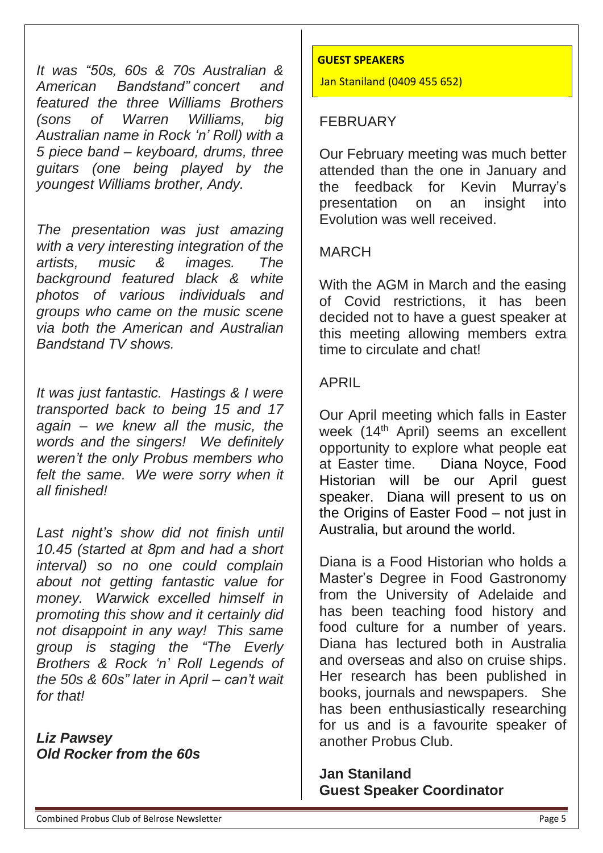*It was "50s, 60s & 70s Australian & American Bandstand" concert and featured the three Williams Brothers (sons of Warren Williams, big Australian name in Rock 'n' Roll) with a 5 piece band – keyboard, drums, three guitars (one being played by the youngest Williams brother, Andy.*

*The presentation was just amazing with a very interesting integration of the artists, music & images. The background featured black & white photos of various individuals and groups who came on the music scene via both the American and Australian Bandstand TV shows.*

*It was just fantastic. Hastings & I were transported back to being 15 and 17 again – we knew all the music, the words and the singers! We definitely weren't the only Probus members who felt the same. We were sorry when it all finished!*

*Last night's show did not finish until 10.45 (started at 8pm and had a short interval) so no one could complain about not getting fantastic value for money. Warwick excelled himself in promoting this show and it certainly did not disappoint in any way! This same group is staging the "The Everly Brothers & Rock 'n' Roll Legends of the 50s & 60s" later in April – can't wait for that!*

*Liz Pawsey Old Rocker from the 60s*

#### **GUEST SPEAKERS**

Jan Staniland (0409 455 652)

# FEBRUARY

Our February meeting was much better attended than the one in January and the feedback for Kevin Murray's presentation on an insight into Evolution was well received.

# MARCH

With the AGM in March and the easing of Covid restrictions, it has been decided not to have a guest speaker at this meeting allowing members extra time to circulate and chat!

# APRIL

Our April meeting which falls in Easter week (14<sup>th</sup> April) seems an excellent opportunity to explore what people eat at Easter time. Diana Noyce, Food Historian will be our April guest speaker. Diana will present to us on the Origins of Easter Food – not just in Australia, but around the world.

Diana is a Food Historian who holds a Master's Degree in Food Gastronomy from the University of Adelaide and has been teaching food history and food culture for a number of years. Diana has lectured both in Australia and overseas and also on cruise ships. Her research has been published in books, journals and newspapers. She has been enthusiastically researching for us and is a favourite speaker of another Probus Club.

**Jan Staniland Guest Speaker Coordinator**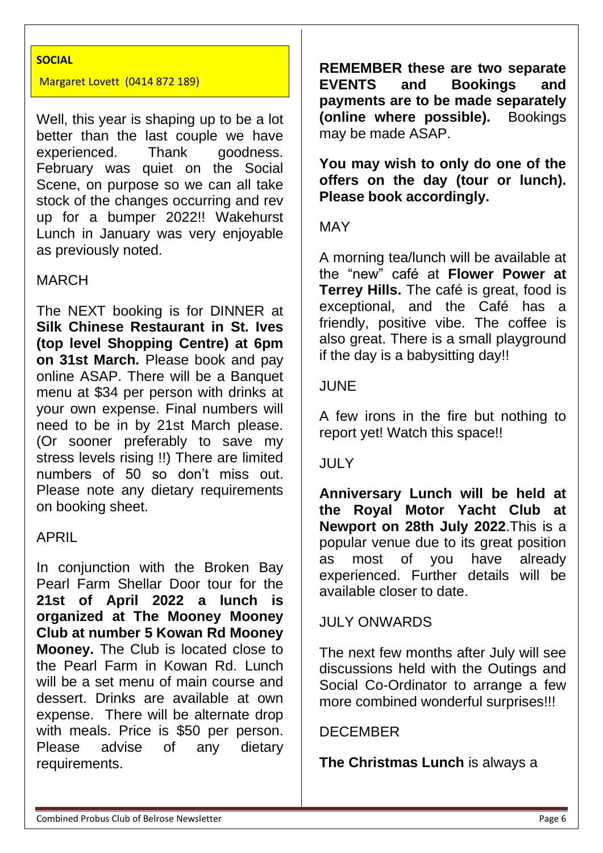#### **SOCIAL**

#### Margaret Lovett (0414 872 189)

Well, this year is shaping up to be a lot better than the last couple we have experienced. Thank goodness. February was quiet on the Social Scene, on purpose so we can all take stock of the changes occurring and rev up for a bumper 2022!! Wakehurst Lunch in January was very enjoyable as previously noted.

#### MARCH

The NEXT booking is for DINNER at **Silk Chinese Restaurant in St. Ives (top level Shopping Centre) at 6pm on 31st March.** Please book and pay online ASAP. There will be a Banquet menu at \$34 per person with drinks at your own expense. Final numbers will need to be in by 21st March please. (Or sooner preferably to save my stress levels rising !!) There are limited numbers of 50 so don't miss out. Please note any dietary requirements on booking sheet.

### APRIL

In conjunction with the Broken Bay Pearl Farm Shellar Door tour for the **21st of April 2022 a lunch is organized at The Mooney Mooney Club at number 5 Kowan Rd Mooney Mooney.** The Club is located close to the Pearl Farm in Kowan Rd. Lunch will be a set menu of main course and dessert. Drinks are available at own expense. There will be alternate drop with meals. Price is \$50 per person. Please advise of any dietary requirements.

**REMEMBER these are two separate EVENTS and Bookings and payments are to be made separately (online where possible).** Bookings may be made ASAP.

**You may wish to only do one of the offers on the day (tour or lunch). Please book accordingly.**

#### MAY

A morning tea/lunch will be available at the "new" café at **Flower Power at Terrey Hills.** The café is great, food is exceptional, and the Café has a friendly, positive vibe. The coffee is also great. There is a small playground if the day is a babysitting day!!

#### JUNE

A few irons in the fire but nothing to report yet! Watch this space!!

### JULY

**Anniversary Lunch will be held at the Royal Motor Yacht Club at Newport on 28th July 2022**.This is a popular venue due to its great position as most of you have already experienced. Further details will be available closer to date.

### JULY ONWARDS

The next few months after July will see discussions held with the Outings and Social Co-Ordinator to arrange a few more combined wonderful surprises!!!

#### DECEMBER

**The Christmas Lunch** is always a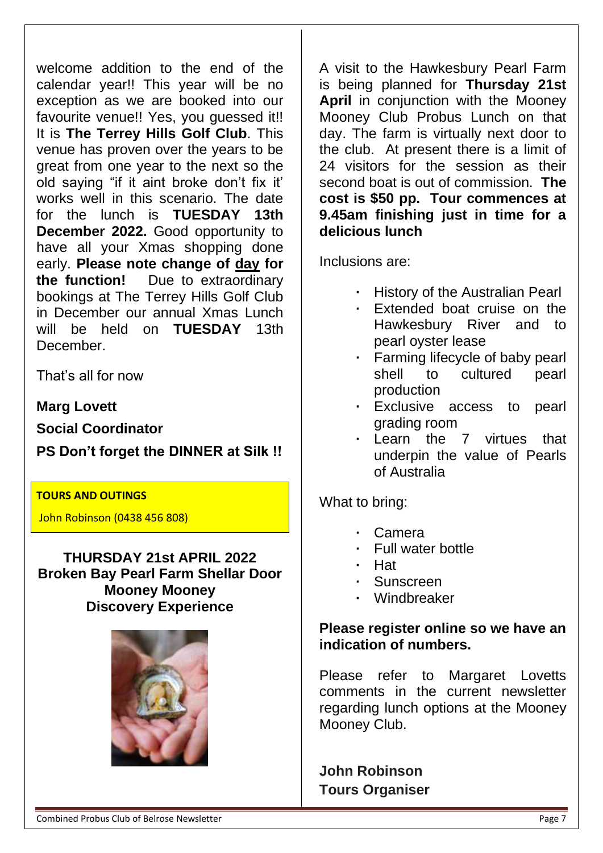**THURSDAY 21st APRIL 2022 Broken Bay Pearl Farm Shellar Door Mooney Mooney Discovery Experience**

Combined Probus Club of Belrose Newsletter **Page 7** (Combined Probus 2014) Page 7

welcome addition to the end of the calendar year!! This year will be no exception as we are booked into our favourite venue!! Yes, you quessed it!! It is **The Terrey Hills Golf Club**. This venue has proven over the years to be great from one year to the next so the old saying "if it aint broke don't fix it' works well in this scenario. The date for the lunch is **TUESDAY 13th December 2022.** Good opportunity to have all your Xmas shopping done A visit to the Hawkesbury Pearl Farm is being planned for **Thursday 21st April** in conjunction with the Mooney Mooney Club Probus Lunch on that day. The farm is virtually next door to the club. At present there is a limit of 24 visitors for the session as their second boat is out of commission. **The cost is \$50 pp. Tour commences at 9.45am finishing just in time for a delicious lunch**

Inclusions are:

- **·** History of the Australian Pearl
- **·** Extended boat cruise on the Hawkesbury River and to pearl oyster lease
- **·** Farming lifecycle of baby pearl shell to cultured pearl production
- **·** Exclusive access to pearl grading room
- **·** Learn the 7 virtues that underpin the value of Pearls of Australia

What to bring:

- **·** Camera
- **·** Full water bottle
- **·** Hat
- **·** Sunscreen
- **·** Windbreaker

# **Please register online so we have an indication of numbers.**

Please refer to Margaret Lovetts comments in the current newsletter regarding lunch options at the Mooney Mooney Club.

**John Robinson Tours Organiser**



**TOURS AND OUTINGS** 

John Robinson (0438 456 808)

**Marg Lovett**

That's all for now

December.

**Social Coordinator**

**PS Don't forget the DINNER at Silk !!**

early. **Please note change of day for the function!** Due to extraordinary bookings at The Terrey Hills Golf Club in December our annual Xmas Lunch will be held on **TUESDAY** 13th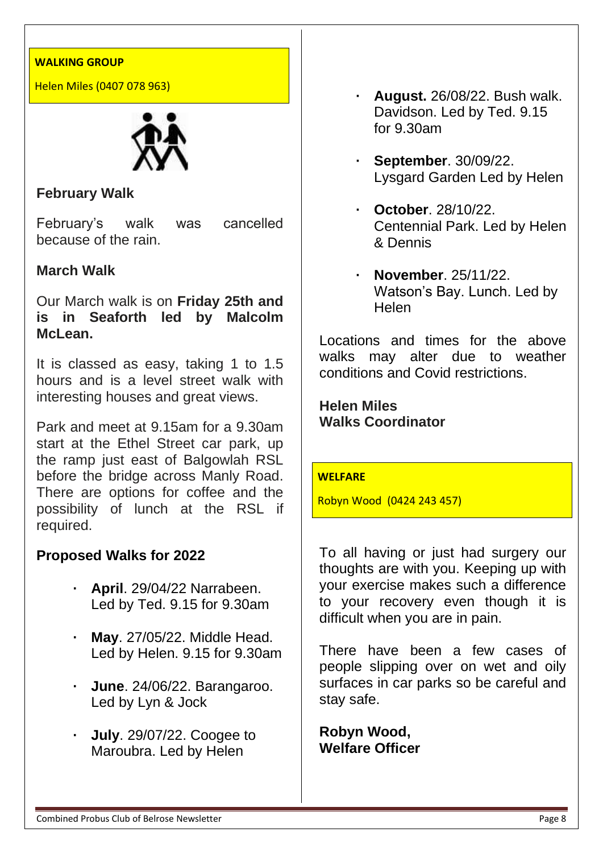#### **WALKING GROUP**

Helen Miles (0407 078 963)



# **February Walk**

February's walk was cancelled because of the rain.

### **March Walk**

Our March walk is on **Friday 25th and is in Seaforth led by Malcolm McLean.**

It is classed as easy, taking 1 to 1.5 hours and is a level street walk with interesting houses and great views.

Park and meet at 9.15am for a 9.30am start at the Ethel Street car park, up the ramp just east of Balgowlah RSL before the bridge across Manly Road. There are options for coffee and the possibility of lunch at the RSL if required.

### **Proposed Walks for 2022**

- **· April**. 29/04/22 Narrabeen. Led by Ted. 9.15 for 9.30am
- **· May**. 27/05/22. Middle Head. Led by Helen. 9.15 for 9.30am
- **· June**. 24/06/22. Barangaroo. Led by Lyn & Jock
- **· July**. 29/07/22. Coogee to Maroubra. Led by Helen
- **· August.** 26/08/22. Bush walk. Davidson. Led by Ted. 9.15 for 9.30am
- **· September**. 30/09/22. Lysgard Garden Led by Helen
- **· October**. 28/10/22. Centennial Park. Led by Helen & Dennis
- **· November**. 25/11/22. Watson's Bay. Lunch. Led by Helen

Locations and times for the above walks may alter due to weather conditions and Covid restrictions.

**Helen Miles Walks Coordinator**

#### **WELFARE**

Robyn Wood (0424 243 457)

To all having or just had surgery our thoughts are with you. Keeping up with your exercise makes such a difference to your recovery even though it is difficult when you are in pain.

There have been a few cases of people slipping over on wet and oily surfaces in car parks so be careful and stay safe.

**Robyn Wood, Welfare Officer**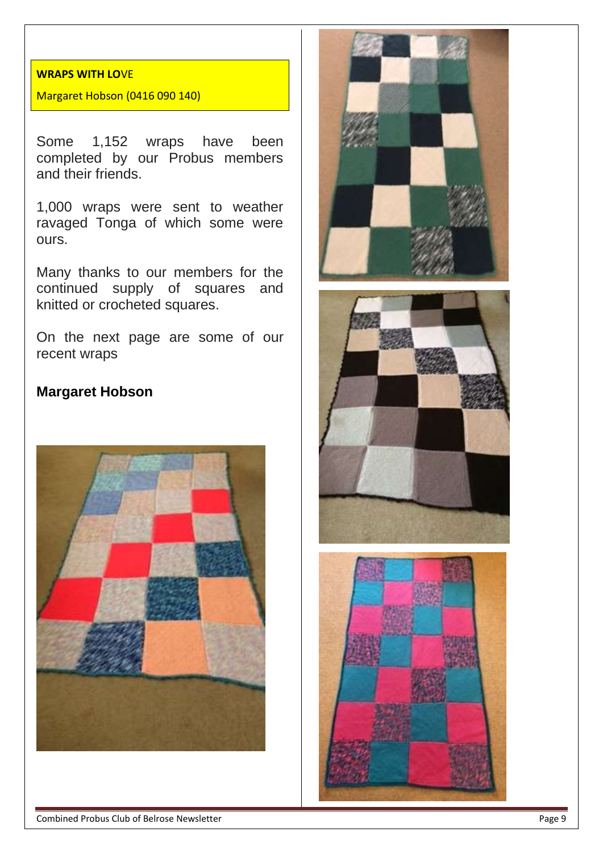### **WRAPS WITH LO**VE

Margaret Hobson (0416 090 140)

Some 1,152 wraps have been completed by our Probus members and their friends.

1,000 wraps were sent to weather ravaged Tonga of which some were ours.

Many thanks to our members for the continued supply of squares and knitted or crocheted squares.

On the next page are some of our recent wraps

## **Margaret Hobson**